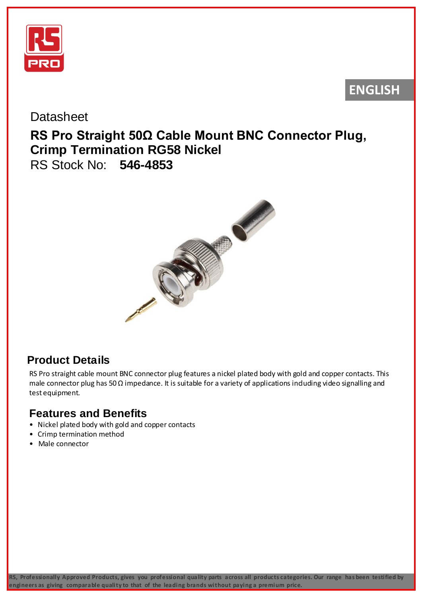

# **ENGLISH**

#### **Datasheet**

## **RS Pro Straight 50Ω Cable Mount BNC Connector Plug, Crimp Termination RG58 Nickel** RS Stock No: **546-4853**



## **Product Details**

RS Pro straight cable mount BNC connector plug features a nickel plated body with gold and copper contacts. This male connector plug has 50  $\Omega$  impedance. It is suitable for a variety of applications induding video signalling and test equipment.

### **Features and Benefits**

- Nickel plated body with gold and copper contacts
- Crimp termination method
- Male connector